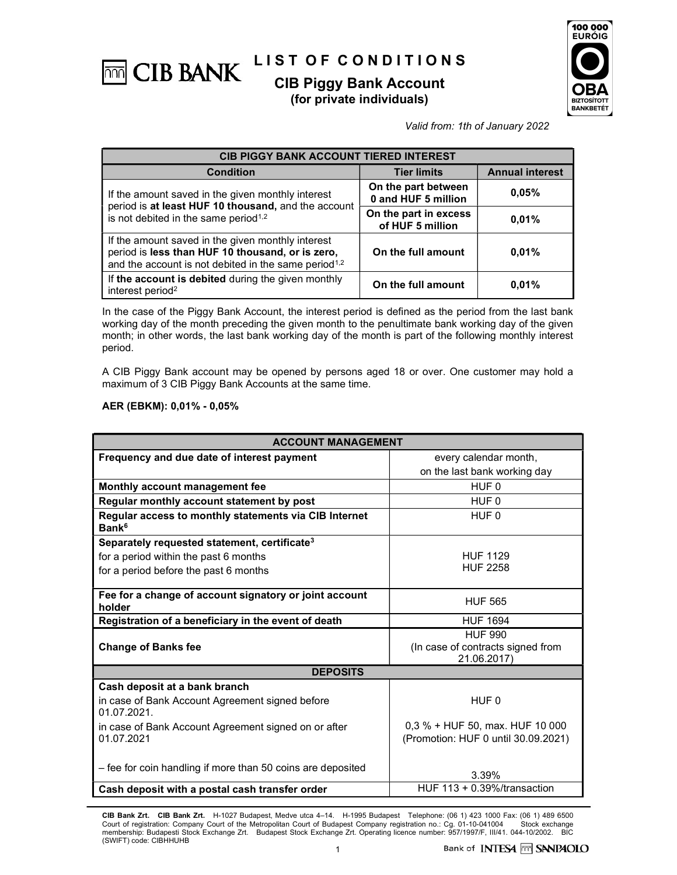

# (for private individuals)



Valid from: 1th of January 2022

| <b>CIB PIGGY BANK ACCOUNT TIERED INTEREST</b>                                                                                                                             |                                            |                        |  |
|---------------------------------------------------------------------------------------------------------------------------------------------------------------------------|--------------------------------------------|------------------------|--|
| <b>Condition</b>                                                                                                                                                          | <b>Tier limits</b>                         | <b>Annual interest</b> |  |
| If the amount saved in the given monthly interest                                                                                                                         | On the part between<br>0 and HUF 5 million | 0.05%                  |  |
| period is at least HUF 10 thousand, and the account<br>is not debited in the same period <sup>1,2</sup>                                                                   | On the part in excess<br>of HUF 5 million  | 0.01%                  |  |
| If the amount saved in the given monthly interest<br>period is less than HUF 10 thousand, or is zero,<br>and the account is not debited in the same period <sup>1,2</sup> | On the full amount                         | 0.01%                  |  |
| If the account is debited during the given monthly<br>interest period <sup>2</sup>                                                                                        | On the full amount                         | 0.01%                  |  |

In the case of the Piggy Bank Account, the interest period is defined as the period from the last bank working day of the month preceding the given month to the penultimate bank working day of the given month; in other words, the last bank working day of the month is part of the following monthly interest period.

A CIB Piggy Bank account may be opened by persons aged 18 or over. One customer may hold a maximum of 3 CIB Piggy Bank Accounts at the same time.

#### AER (EBKM): 0,01% - 0,05%

| <b>ACCOUNT MANAGEMENT</b>                                                  |                                                                    |  |  |  |
|----------------------------------------------------------------------------|--------------------------------------------------------------------|--|--|--|
| Frequency and due date of interest payment                                 | every calendar month,                                              |  |  |  |
|                                                                            | on the last bank working day                                       |  |  |  |
| Monthly account management fee                                             | HUF 0                                                              |  |  |  |
| Regular monthly account statement by post                                  | HUF 0                                                              |  |  |  |
| Regular access to monthly statements via CIB Internet<br>Bank <sup>6</sup> | HUF 0                                                              |  |  |  |
| Separately requested statement, certificate <sup>3</sup>                   |                                                                    |  |  |  |
| for a period within the past 6 months                                      | <b>HUF 1129</b>                                                    |  |  |  |
| for a period before the past 6 months                                      | <b>HUF 2258</b>                                                    |  |  |  |
| Fee for a change of account signatory or joint account<br>holder           | <b>HUF 565</b>                                                     |  |  |  |
| Registration of a beneficiary in the event of death                        | <b>HUF 1694</b>                                                    |  |  |  |
| <b>Change of Banks fee</b>                                                 | <b>HUF 990</b><br>(In case of contracts signed from<br>21.06.2017) |  |  |  |
| <b>DEPOSITS</b>                                                            |                                                                    |  |  |  |
| Cash deposit at a bank branch                                              |                                                                    |  |  |  |
| in case of Bank Account Agreement signed before<br>01.07.2021.             | HUF <sub>0</sub>                                                   |  |  |  |
| in case of Bank Account Agreement signed on or after                       | 0,3 % + HUF 50, max. HUF 10 000                                    |  |  |  |
| 01.07.2021                                                                 | (Promotion: HUF 0 until 30.09.2021)                                |  |  |  |
| - fee for coin handling if more than 50 coins are deposited                | 3.39%                                                              |  |  |  |
| Cash deposit with a postal cash transfer order                             | HUF $113 + 0.39\%$ /transaction                                    |  |  |  |

CIB Bank Zrt. CIB Bank Zrt. H-1027 Budapest, Medve utca 4–14. H-1995 Budapest Telephone: (06 1) 423 1000 Fax: (06 1) 489 6500 Court of registration: Company Court of the Metropolitan Court of Budapest Company registration no.: Cg. 01-10-041004 Stock exchange<br>membership: Budapesti Stock Exchange Zrt. Budapest Stock Exchange Zrt. Operating licence (SWIFT) code: CIBHHUHB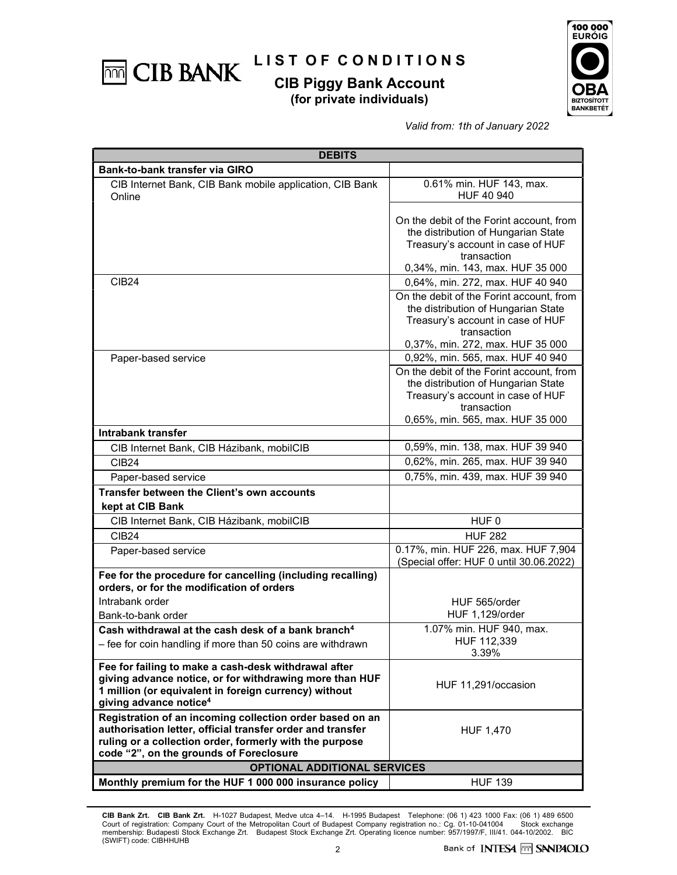

## L I S T O F C O N D I T I O N S

## CIB Piggy Bank Account (for private individuals)



Valid from: 1th of January 2022

| <b>DEBITS</b>                                                                                                                                                                                                                |                                                                                                                                                                         |  |  |  |
|------------------------------------------------------------------------------------------------------------------------------------------------------------------------------------------------------------------------------|-------------------------------------------------------------------------------------------------------------------------------------------------------------------------|--|--|--|
| Bank-to-bank transfer via GIRO                                                                                                                                                                                               |                                                                                                                                                                         |  |  |  |
| CIB Internet Bank, CIB Bank mobile application, CIB Bank<br>Online                                                                                                                                                           | 0.61% min. HUF 143, max.<br>HUF 40 940                                                                                                                                  |  |  |  |
|                                                                                                                                                                                                                              | On the debit of the Forint account, from<br>the distribution of Hungarian State<br>Treasury's account in case of HUF<br>transaction<br>0,34%, min. 143, max. HUF 35 000 |  |  |  |
| <b>CIB24</b>                                                                                                                                                                                                                 | 0,64%, min. 272, max. HUF 40 940                                                                                                                                        |  |  |  |
|                                                                                                                                                                                                                              | On the debit of the Forint account, from<br>the distribution of Hungarian State<br>Treasury's account in case of HUF<br>transaction<br>0,37%, min. 272, max. HUF 35 000 |  |  |  |
| Paper-based service                                                                                                                                                                                                          | 0,92%, min. 565, max. HUF 40 940                                                                                                                                        |  |  |  |
|                                                                                                                                                                                                                              | On the debit of the Forint account, from<br>the distribution of Hungarian State<br>Treasury's account in case of HUF<br>transaction<br>0,65%, min. 565, max. HUF 35 000 |  |  |  |
| Intrabank transfer                                                                                                                                                                                                           |                                                                                                                                                                         |  |  |  |
| CIB Internet Bank, CIB Házibank, mobilCIB                                                                                                                                                                                    | 0,59%, min. 138, max. HUF 39 940                                                                                                                                        |  |  |  |
| CIB <sub>24</sub>                                                                                                                                                                                                            | 0,62%, min. 265, max. HUF 39 940                                                                                                                                        |  |  |  |
| Paper-based service                                                                                                                                                                                                          | 0,75%, min. 439, max. HUF 39 940                                                                                                                                        |  |  |  |
| Transfer between the Client's own accounts<br>kept at CIB Bank                                                                                                                                                               |                                                                                                                                                                         |  |  |  |
| CIB Internet Bank, CIB Házibank, mobilCIB                                                                                                                                                                                    | HUF <sub>0</sub>                                                                                                                                                        |  |  |  |
| <b>CIB24</b>                                                                                                                                                                                                                 | <b>HUF 282</b>                                                                                                                                                          |  |  |  |
| Paper-based service                                                                                                                                                                                                          | 0.17%, min. HUF 226, max. HUF 7,904<br>(Special offer: HUF 0 until 30.06.2022)                                                                                          |  |  |  |
| Fee for the procedure for cancelling (including recalling)<br>orders, or for the modification of orders                                                                                                                      |                                                                                                                                                                         |  |  |  |
| Intrabank order                                                                                                                                                                                                              | HUF 565/order                                                                                                                                                           |  |  |  |
| Bank-to-bank order                                                                                                                                                                                                           | HUF 1,129/order                                                                                                                                                         |  |  |  |
| Cash withdrawal at the cash desk of a bank branch <sup>4</sup>                                                                                                                                                               | 1.07% min. HUF 940, max.                                                                                                                                                |  |  |  |
| - fee for coin handling if more than 50 coins are withdrawn                                                                                                                                                                  | HUF 112.339<br>3.39%                                                                                                                                                    |  |  |  |
| Fee for failing to make a cash-desk withdrawal after<br>giving advance notice, or for withdrawing more than HUF<br>1 million (or equivalent in foreign currency) without<br>giving advance notice <sup>4</sup>               | HUF 11,291/occasion                                                                                                                                                     |  |  |  |
| Registration of an incoming collection order based on an<br>authorisation letter, official transfer order and transfer<br>ruling or a collection order, formerly with the purpose<br>code "2", on the grounds of Foreclosure | HUF 1,470                                                                                                                                                               |  |  |  |
| <b>OPTIONAL ADDITIONAL SERVICES</b>                                                                                                                                                                                          |                                                                                                                                                                         |  |  |  |
| Monthly premium for the HUF 1 000 000 insurance policy                                                                                                                                                                       | <b>HUF 139</b>                                                                                                                                                          |  |  |  |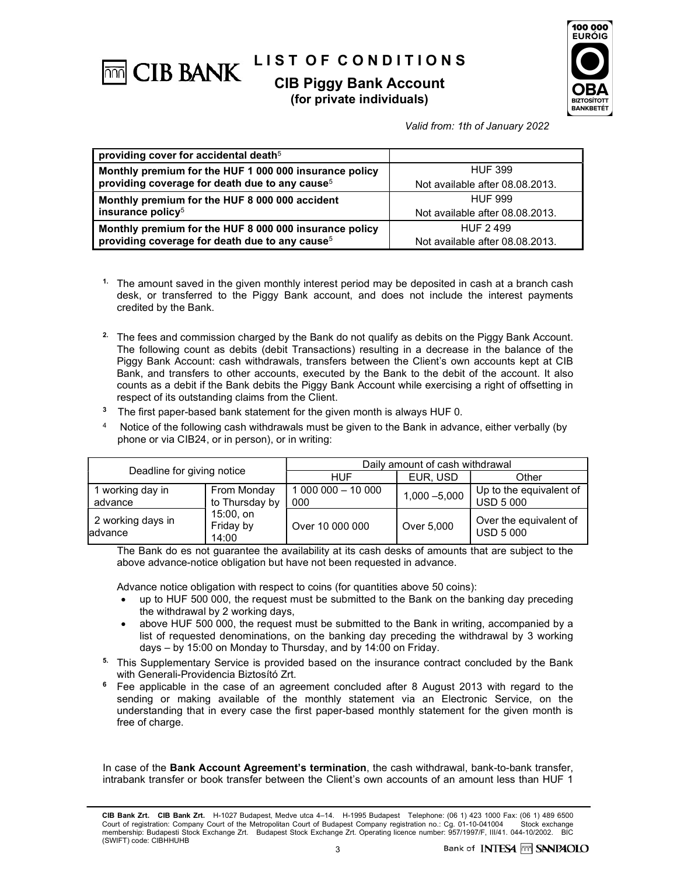

# LIST OF CONDITIONS

## CIB Piggy Bank Account (for private individuals)



Valid from: 1th of January 2022

| providing cover for accidental death <sup>5</sup>          |                                 |  |
|------------------------------------------------------------|---------------------------------|--|
| Monthly premium for the HUF 1 000 000 insurance policy     | <b>HUF 399</b>                  |  |
| $\mid$ providing coverage for death due to any cause $^5$  | Not available after 08.08.2013. |  |
| Monthly premium for the HUF 8 000 000 accident             | <b>HUF 999</b>                  |  |
| $\vert$ insurance policy <sup>5</sup>                      | Not available after 08.08.2013. |  |
| Monthly premium for the HUF 8 000 000 insurance policy     | HUF 2499                        |  |
| providing coverage for death due to any cause <sup>5</sup> | Not available after 08.08.2013. |  |

- <sup>1.</sup> The amount saved in the given monthly interest period may be deposited in cash at a branch cash desk, or transferred to the Piggy Bank account, and does not include the interest payments credited by the Bank.
- <sup>2.</sup> The fees and commission charged by the Bank do not qualify as debits on the Piggy Bank Account. The following count as debits (debit Transactions) resulting in a decrease in the balance of the Piggy Bank Account: cash withdrawals, transfers between the Client's own accounts kept at CIB Bank, and transfers to other accounts, executed by the Bank to the debit of the account. It also counts as a debit if the Bank debits the Piggy Bank Account while exercising a right of offsetting in respect of its outstanding claims from the Client.
- <sup>3</sup> The first paper-based bank statement for the given month is always HUF 0.
- Notice of the following cash withdrawals must be given to the Bank in advance, either verbally (by phone or via CIB24, or in person), or in writing:

| Deadline for giving notice    |                                 | Daily amount of cash withdrawal |                 |                                             |
|-------------------------------|---------------------------------|---------------------------------|-----------------|---------------------------------------------|
|                               |                                 | HUF                             | EUR, USD        | Other                                       |
| I working day in<br>advance   | From Monday<br>to Thursday by   | 1 000 000 - 10 000<br>000       | $1,000 - 5,000$ | Up to the equivalent of<br><b>USD 5 000</b> |
| 2 working days in<br>ladvance | 15:00, on<br>Friday by<br>14:00 | Over 10 000 000                 | Over 5,000      | Over the equivalent of<br><b>USD 5 000</b>  |

 The Bank do es not guarantee the availability at its cash desks of amounts that are subject to the above advance-notice obligation but have not been requested in advance.

Advance notice obligation with respect to coins (for quantities above 50 coins):

- up to HUF 500 000, the request must be submitted to the Bank on the banking day preceding the withdrawal by 2 working days,
- above HUF 500 000, the request must be submitted to the Bank in writing, accompanied by a list of requested denominations, on the banking day preceding the withdrawal by 3 working days – by 15:00 on Monday to Thursday, and by 14:00 on Friday.
- <sup>5.</sup> This Supplementary Service is provided based on the insurance contract concluded by the Bank with Generali-Providencia Biztosító Zrt.
- <sup>6</sup> Fee applicable in the case of an agreement concluded after 8 August 2013 with regard to the sending or making available of the monthly statement via an Electronic Service, on the understanding that in every case the first paper-based monthly statement for the given month is free of charge.

In case of the Bank Account Agreement's termination, the cash withdrawal, bank-to-bank transfer, intrabank transfer or book transfer between the Client's own accounts of an amount less than HUF 1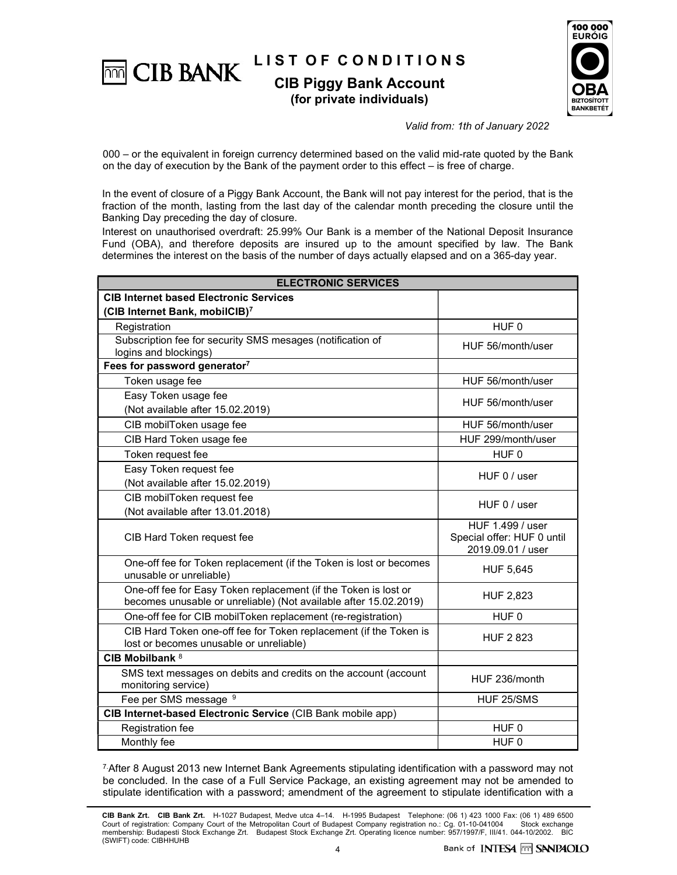LIST OF CONDITIONS **THE CIB BANK** CIB Piggy Bank Account

(for private individuals)



Valid from: 1th of January 2022

000 – or the equivalent in foreign currency determined based on the valid mid-rate quoted by the Bank on the day of execution by the Bank of the payment order to this effect – is free of charge.

In the event of closure of a Piggy Bank Account, the Bank will not pay interest for the period, that is the fraction of the month, lasting from the last day of the calendar month preceding the closure until the Banking Day preceding the day of closure.

Interest on unauthorised overdraft: 25.99% Our Bank is a member of the National Deposit Insurance Fund (OBA), and therefore deposits are insured up to the amount specified by law. The Bank determines the interest on the basis of the number of days actually elapsed and on a 365-day year.

| <b>ELECTRONIC SERVICES</b>                                                                                                          |                                                                     |  |  |  |
|-------------------------------------------------------------------------------------------------------------------------------------|---------------------------------------------------------------------|--|--|--|
| <b>CIB Internet based Electronic Services</b>                                                                                       |                                                                     |  |  |  |
| (CIB Internet Bank, mobilCIB)7                                                                                                      |                                                                     |  |  |  |
| Registration                                                                                                                        | HUF <sub>0</sub>                                                    |  |  |  |
| Subscription fee for security SMS mesages (notification of<br>logins and blockings)                                                 | HUF 56/month/user                                                   |  |  |  |
| Fees for password generator7                                                                                                        |                                                                     |  |  |  |
| Token usage fee                                                                                                                     | HUF 56/month/user                                                   |  |  |  |
| Easy Token usage fee<br>(Not available after 15.02.2019)                                                                            | HUF 56/month/user                                                   |  |  |  |
| CIB mobilToken usage fee                                                                                                            | HUF 56/month/user                                                   |  |  |  |
| CIB Hard Token usage fee                                                                                                            | HUF 299/month/user                                                  |  |  |  |
| Token request fee                                                                                                                   | HUF <sub>0</sub>                                                    |  |  |  |
| Easy Token request fee<br>(Not available after 15.02.2019)                                                                          | HUF 0 / user                                                        |  |  |  |
| CIB mobilToken request fee<br>(Not available after 13.01.2018)                                                                      | HUF 0 / user                                                        |  |  |  |
| CIB Hard Token request fee                                                                                                          | HUF 1.499 / user<br>Special offer: HUF 0 until<br>2019.09.01 / user |  |  |  |
| One-off fee for Token replacement (if the Token is lost or becomes<br>unusable or unreliable)                                       | <b>HUF 5,645</b>                                                    |  |  |  |
| One-off fee for Easy Token replacement (if the Token is lost or<br>becomes unusable or unreliable) (Not available after 15.02.2019) | <b>HUF 2,823</b>                                                    |  |  |  |
| One-off fee for CIB mobilToken replacement (re-registration)                                                                        | HUF <sub>0</sub>                                                    |  |  |  |
| CIB Hard Token one-off fee for Token replacement (if the Token is<br>lost or becomes unusable or unreliable)                        | <b>HUF 2823</b>                                                     |  |  |  |
| CIB Mobilbank <sup>8</sup>                                                                                                          |                                                                     |  |  |  |
| SMS text messages on debits and credits on the account (account<br>monitoring service)                                              | HUF 236/month                                                       |  |  |  |
| Fee per SMS message 9                                                                                                               | HUF 25/SMS                                                          |  |  |  |
| CIB Internet-based Electronic Service (CIB Bank mobile app)                                                                         |                                                                     |  |  |  |
| Registration fee                                                                                                                    | HUF <sub>0</sub>                                                    |  |  |  |
| Monthly fee                                                                                                                         | HUF <sub>0</sub>                                                    |  |  |  |

7.After 8 August 2013 new Internet Bank Agreements stipulating identification with a password may not be concluded. In the case of a Full Service Package, an existing agreement may not be amended to stipulate identification with a password; amendment of the agreement to stipulate identification with a